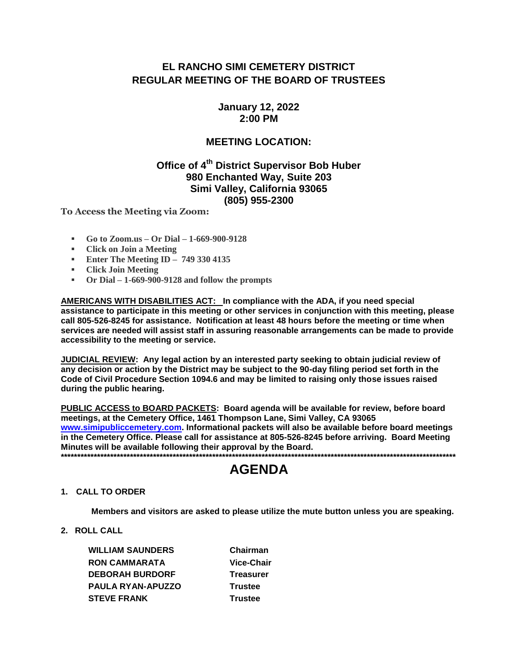## EL RANCHO SIMI CEMETERY DISTRICT **REGULAR MEETING OF THE BOARD OF TRUSTEES**

**January 12, 2022**  $2:00$  PM

### **MEETING LOCATION:**

## Office of 4<sup>th</sup> District Supervisor Bob Huber 980 Enchanted Way, Suite 203 Simi Valley, California 93065 (805) 955-2300

To Access the Meeting via Zoom:

- Go to Zoom.us Or Dial 1-669-900-9128
- Click on Join a Meeting
- **Enter The Meeting ID 749 330 4135**
- Click Join Meeting
- Or Dial  $-1-669-900-9128$  and follow the prompts

AMERICANS WITH DISABILITIES ACT: In compliance with the ADA, if you need special assistance to participate in this meeting or other services in conjunction with this meeting, please call 805-526-8245 for assistance. Notification at least 48 hours before the meeting or time when services are needed will assist staff in assuring reasonable arrangements can be made to provide accessibility to the meeting or service.

JUDICIAL REVIEW: Any legal action by an interested party seeking to obtain judicial review of any decision or action by the District may be subject to the 90-day filing period set forth in the Code of Civil Procedure Section 1094.6 and may be limited to raising only those issues raised during the public hearing.

PUBLIC ACCESS to BOARD PACKETS: Board agenda will be available for review, before board meetings, at the Cemetery Office, 1461 Thompson Lane, Simi Valley, CA 93065 www.simipubliccemetery.com. Informational packets will also be available before board meetings in the Cemetery Office. Please call for assistance at 805-526-8245 before arriving. Board Meeting Minutes will be available following their approval by the Board. 

# **AGENDA**

#### 1. CALL TO ORDER

Members and visitors are asked to please utilize the mute button unless you are speaking.

2. ROLL CALL

**WILLIAM SAUNDERS RON CAMMARATA DEBORAH BURDORF** PAULA RYAN-APUZZO **STEVE FRANK** 

Chairman Vice-Chair **Treasurer Trustee Trustee**